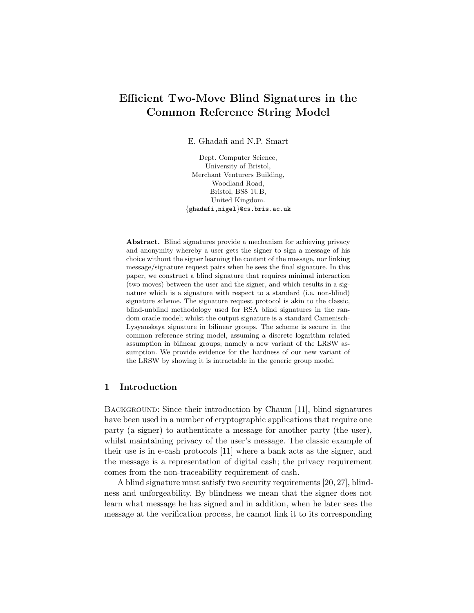# Efficient Two-Move Blind Signatures in the Common Reference String Model

E. Ghadafi and N.P. Smart

Dept. Computer Science, University of Bristol, Merchant Venturers Building, Woodland Road, Bristol, BS8 1UB, United Kingdom. {ghadafi,nigel}@cs.bris.ac.uk

Abstract. Blind signatures provide a mechanism for achieving privacy and anonymity whereby a user gets the signer to sign a message of his choice without the signer learning the content of the message, nor linking message/signature request pairs when he sees the final signature. In this paper, we construct a blind signature that requires minimal interaction (two moves) between the user and the signer, and which results in a signature which is a signature with respect to a standard (i.e. non-blind) signature scheme. The signature request protocol is akin to the classic, blind-unblind methodology used for RSA blind signatures in the random oracle model; whilst the output signature is a standard Camenisch-Lysyanskaya signature in bilinear groups. The scheme is secure in the common reference string model, assuming a discrete logarithm related assumption in bilinear groups; namely a new variant of the LRSW assumption. We provide evidence for the hardness of our new variant of the LRSW by showing it is intractable in the generic group model.

# 1 Introduction

BACKGROUND: Since their introduction by Chaum [11], blind signatures have been used in a number of cryptographic applications that require one party (a signer) to authenticate a message for another party (the user), whilst maintaining privacy of the user's message. The classic example of their use is in e-cash protocols [11] where a bank acts as the signer, and the message is a representation of digital cash; the privacy requirement comes from the non-traceability requirement of cash.

A blind signature must satisfy two security requirements [20, 27], blindness and unforgeability. By blindness we mean that the signer does not learn what message he has signed and in addition, when he later sees the message at the verification process, he cannot link it to its corresponding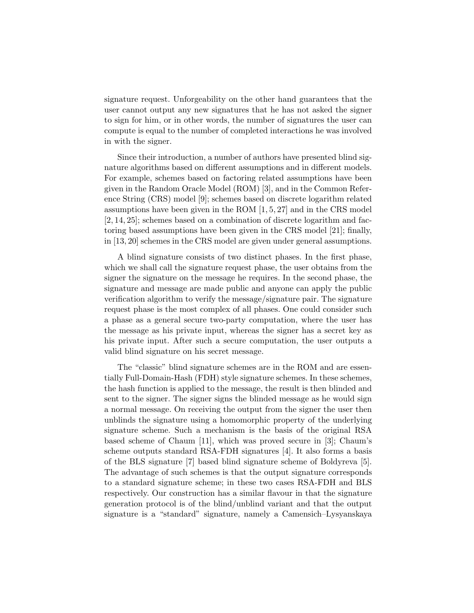signature request. Unforgeability on the other hand guarantees that the user cannot output any new signatures that he has not asked the signer to sign for him, or in other words, the number of signatures the user can compute is equal to the number of completed interactions he was involved in with the signer.

Since their introduction, a number of authors have presented blind signature algorithms based on different assumptions and in different models. For example, schemes based on factoring related assumptions have been given in the Random Oracle Model (ROM) [3], and in the Common Reference String (CRS) model [9]; schemes based on discrete logarithm related assumptions have been given in the ROM [1, 5, 27] and in the CRS model [2, 14, 25]; schemes based on a combination of discrete logarithm and factoring based assumptions have been given in the CRS model [21]; finally, in [13, 20] schemes in the CRS model are given under general assumptions.

A blind signature consists of two distinct phases. In the first phase, which we shall call the signature request phase, the user obtains from the signer the signature on the message he requires. In the second phase, the signature and message are made public and anyone can apply the public verification algorithm to verify the message/signature pair. The signature request phase is the most complex of all phases. One could consider such a phase as a general secure two-party computation, where the user has the message as his private input, whereas the signer has a secret key as his private input. After such a secure computation, the user outputs a valid blind signature on his secret message.

The "classic" blind signature schemes are in the ROM and are essentially Full-Domain-Hash (FDH) style signature schemes. In these schemes, the hash function is applied to the message, the result is then blinded and sent to the signer. The signer signs the blinded message as he would sign a normal message. On receiving the output from the signer the user then unblinds the signature using a homomorphic property of the underlying signature scheme. Such a mechanism is the basis of the original RSA based scheme of Chaum [11], which was proved secure in [3]; Chaum's scheme outputs standard RSA-FDH signatures [4]. It also forms a basis of the BLS signature [7] based blind signature scheme of Boldyreva [5]. The advantage of such schemes is that the output signature corresponds to a standard signature scheme; in these two cases RSA-FDH and BLS respectively. Our construction has a similar flavour in that the signature generation protocol is of the blind/unblind variant and that the output signature is a "standard" signature, namely a Camensich–Lysyanskaya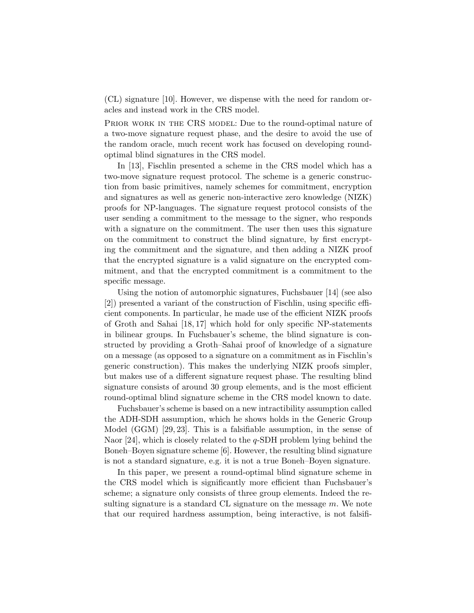(CL) signature [10]. However, we dispense with the need for random oracles and instead work in the CRS model.

PRIOR WORK IN THE CRS MODEL: Due to the round-optimal nature of a two-move signature request phase, and the desire to avoid the use of the random oracle, much recent work has focused on developing roundoptimal blind signatures in the CRS model.

In [13], Fischlin presented a scheme in the CRS model which has a two-move signature request protocol. The scheme is a generic construction from basic primitives, namely schemes for commitment, encryption and signatures as well as generic non-interactive zero knowledge (NIZK) proofs for NP-languages. The signature request protocol consists of the user sending a commitment to the message to the signer, who responds with a signature on the commitment. The user then uses this signature on the commitment to construct the blind signature, by first encrypting the commitment and the signature, and then adding a NIZK proof that the encrypted signature is a valid signature on the encrypted commitment, and that the encrypted commitment is a commitment to the specific message.

Using the notion of automorphic signatures, Fuchsbauer [14] (see also [2]) presented a variant of the construction of Fischlin, using specific efficient components. In particular, he made use of the efficient NIZK proofs of Groth and Sahai [18, 17] which hold for only specific NP-statements in bilinear groups. In Fuchsbauer's scheme, the blind signature is constructed by providing a Groth–Sahai proof of knowledge of a signature on a message (as opposed to a signature on a commitment as in Fischlin's generic construction). This makes the underlying NIZK proofs simpler, but makes use of a different signature request phase. The resulting blind signature consists of around 30 group elements, and is the most efficient round-optimal blind signature scheme in the CRS model known to date.

Fuchsbauer's scheme is based on a new intractibility assumption called the ADH-SDH assumption, which he shows holds in the Generic Group Model (GGM) [29, 23]. This is a falsifiable assumption, in the sense of Naor  $[24]$ , which is closely related to the q-SDH problem lying behind the Boneh–Boyen signature scheme [6]. However, the resulting blind signature is not a standard signature, e.g. it is not a true Boneh–Boyen signature.

In this paper, we present a round-optimal blind signature scheme in the CRS model which is significantly more efficient than Fuchsbauer's scheme; a signature only consists of three group elements. Indeed the resulting signature is a standard CL signature on the message  $m$ . We note that our required hardness assumption, being interactive, is not falsifi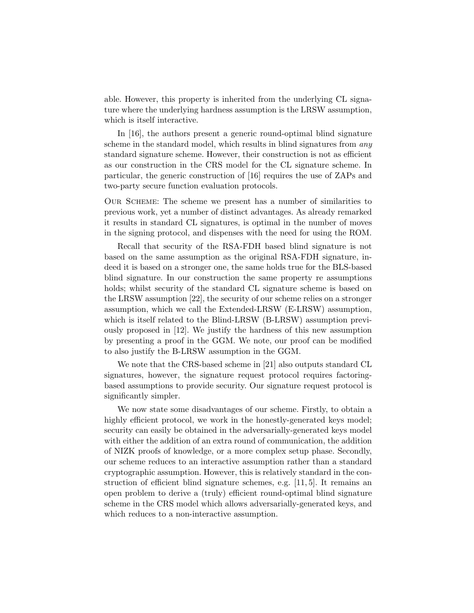able. However, this property is inherited from the underlying CL signature where the underlying hardness assumption is the LRSW assumption, which is itself interactive.

In [16], the authors present a generic round-optimal blind signature scheme in the standard model, which results in blind signatures from any standard signature scheme. However, their construction is not as efficient as our construction in the CRS model for the CL signature scheme. In particular, the generic construction of [16] requires the use of ZAPs and two-party secure function evaluation protocols.

Our Scheme: The scheme we present has a number of similarities to previous work, yet a number of distinct advantages. As already remarked it results in standard CL signatures, is optimal in the number of moves in the signing protocol, and dispenses with the need for using the ROM.

Recall that security of the RSA-FDH based blind signature is not based on the same assumption as the original RSA-FDH signature, indeed it is based on a stronger one, the same holds true for the BLS-based blind signature. In our construction the same property re assumptions holds; whilst security of the standard CL signature scheme is based on the LRSW assumption [22], the security of our scheme relies on a stronger assumption, which we call the Extended-LRSW (E-LRSW) assumption, which is itself related to the Blind-LRSW (B-LRSW) assumption previously proposed in [12]. We justify the hardness of this new assumption by presenting a proof in the GGM. We note, our proof can be modified to also justify the B-LRSW assumption in the GGM.

We note that the CRS-based scheme in [21] also outputs standard CL signatures, however, the signature request protocol requires factoringbased assumptions to provide security. Our signature request protocol is significantly simpler.

We now state some disadvantages of our scheme. Firstly, to obtain a highly efficient protocol, we work in the honestly-generated keys model; security can easily be obtained in the adversarially-generated keys model with either the addition of an extra round of communication, the addition of NIZK proofs of knowledge, or a more complex setup phase. Secondly, our scheme reduces to an interactive assumption rather than a standard cryptographic assumption. However, this is relatively standard in the construction of efficient blind signature schemes, e.g. [11, 5]. It remains an open problem to derive a (truly) efficient round-optimal blind signature scheme in the CRS model which allows adversarially-generated keys, and which reduces to a non-interactive assumption.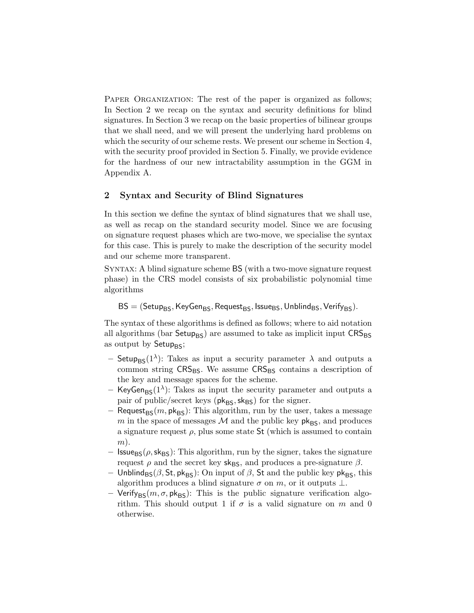PAPER ORGANIZATION: The rest of the paper is organized as follows; In Section 2 we recap on the syntax and security definitions for blind signatures. In Section 3 we recap on the basic properties of bilinear groups that we shall need, and we will present the underlying hard problems on which the security of our scheme rests. We present our scheme in Section 4, with the security proof provided in Section 5. Finally, we provide evidence for the hardness of our new intractability assumption in the GGM in Appendix A.

# 2 Syntax and Security of Blind Signatures

In this section we define the syntax of blind signatures that we shall use, as well as recap on the standard security model. Since we are focusing on signature request phases which are two-move, we specialise the syntax for this case. This is purely to make the description of the security model and our scheme more transparent.

Syntax: A blind signature scheme BS (with a two-move signature request phase) in the CRS model consists of six probabilistic polynomial time algorithms

 $BS = (Setup_{BS},KeyGen_{BS}, Request_{BS}, Iss_{BS},Unblind_{BS},Verify_{BS}).$ 

The syntax of these algorithms is defined as follows; where to aid notation all algorithms (bar  $Setup_{BS}$ ) are assumed to take as implicit input  $CRS_{BS}$ as output by  $Setupp_{BS};$ 

- Setup<sub>BS</sub> $(1^{\lambda})$ : Takes as input a security parameter  $\lambda$  and outputs a common string  $CRS_{BS}$ . We assume  $CRS_{BS}$  contains a description of the key and message spaces for the scheme.
- KeyGen<sub>BS</sub> $(1^{\lambda})$ : Takes as input the security parameter and outputs a pair of public/secret keys ( $pk_{BS}$ ,  $sk_{BS}$ ) for the signer.
- Request<sub>BS</sub> $(m, \mathsf{pk}_{\mathsf{BS}})$ : This algorithm, run by the user, takes a message m in the space of messages  $M$  and the public key  $pk_{BS}$ , and produces a signature request  $\rho$ , plus some state St (which is assumed to contain  $(m).$
- $\mathsf{lssue}_{\mathsf{BS}}(\rho, \mathsf{sk}_{\mathsf{BS}})$ : This algorithm, run by the signer, takes the signature request  $ρ$  and the secret key sk<sub>BS</sub>, and produces a pre-signature  $β$ .
- Unblind<sub>BS</sub>( $\beta$ , St, pk<sub>BS</sub>): On input of  $\beta$ , St and the public key pk<sub>BS</sub>, this algorithm produces a blind signature  $\sigma$  on m, or it outputs  $\bot$ .
- Verify<sub>BS</sub> $(m, \sigma, \mathsf{pk}_{\mathsf{BS}})$ : This is the public signature verification algorithm. This should output 1 if  $\sigma$  is a valid signature on m and 0 otherwise.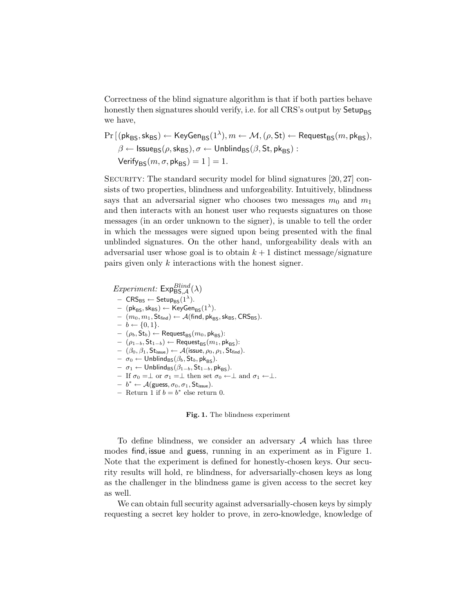Correctness of the blind signature algorithm is that if both parties behave honestly then signatures should verify, i.e. for all CRS's output by  $\mathsf{Setup}_{\mathsf{BS}}$ we have,

$$
\Pr\left[(\mathsf{pk}_{\mathsf{BS}},\mathsf{sk}_{\mathsf{BS}})\leftarrow \mathsf{KeyGen}_{\mathsf{BS}}(1^{\lambda}), m\leftarrow \mathcal{M}, (\rho,\mathsf{St})\leftarrow \mathsf{Request}_{\mathsf{BS}}(m,\mathsf{pk}_{\mathsf{BS}}),\\ \beta \leftarrow \mathsf{Issue}_{\mathsf{BS}}(\rho,\mathsf{sk}_{\mathsf{BS}}), \sigma\leftarrow \mathsf{Unblind}_{\mathsf{BS}}(\beta,\mathsf{St},\mathsf{pk}_{\mathsf{BS}}):\\ \mathsf{Verify}_{\mathsf{BS}}(m,\sigma,\mathsf{pk}_{\mathsf{BS}})=1\;\text{]}=1.
$$

SECURITY: The standard security model for blind signatures [20, 27] consists of two properties, blindness and unforgeability. Intuitively, blindness says that an adversarial signer who chooses two messages  $m_0$  and  $m_1$ and then interacts with an honest user who requests signatures on those messages (in an order unknown to the signer), is unable to tell the order in which the messages were signed upon being presented with the final unblinded signatures. On the other hand, unforgeability deals with an adversarial user whose goal is to obtain  $k+1$  distinct message/signature pairs given only k interactions with the honest signer.

Experiment:  $Exp_{BS,\mathcal{A}}^{Blind}(\lambda)$  $-$  CRS<sub>BS</sub>  $\leftarrow$  Setup<sub>BS</sub> $(1^{\lambda})$ .  $-$  (pk<sub>BS</sub>, sk<sub>BS</sub>)  $\leftarrow$  KeyGen<sub>BS</sub>(1<sup> $\lambda$ </sup>).  $(m_0, m_1, \text{St}_{\text{find}}) \leftarrow \mathcal{A}(\text{find}, \text{pk}_{\text{BS}}, \text{sk}_{\text{BS}}, \text{CRS}_{\text{BS}}).$  $- b \leftarrow \{0, 1\}.$  $(\rho_b, \mathsf{St}_b) \leftarrow \mathsf{Request}_{\mathsf{BS}}(m_0, \mathsf{pk}_{\mathsf{BS}})$ :  $-$  ( $\rho_{1-b}$ , St<sub>1−b</sub>) ← Request<sub>BS</sub>( $m_1$ , pk<sub>BS</sub>):  $(\beta_0, \beta_1, \mathsf{St}_{\text{issue}}) \leftarrow \mathcal{A}(\text{issue}, \rho_0, \rho_1, \mathsf{St}_{\text{find}}).$  $- \sigma_0 \leftarrow$  Unblind<sub>BS</sub>( $\beta_b$ , St<sub>b</sub>, pk<sub>BS</sub>).  $-σ_1 ← Unblind_{BS}(\beta_{1-b}, St_{1-b}, pk_{BS}).$ – If  $\sigma_0 = \perp$  or  $\sigma_1 = \perp$  then set  $\sigma_0 \leftarrow \perp$  and  $\sigma_1 \leftarrow \perp$ .  $- b^* \leftarrow \mathcal{A}(\text{guess}, \sigma_0, \sigma_1, \text{St}_{\text{issue}}).$  $-$  Return 1 if  $b = b^*$  else return 0.

Fig. 1. The blindness experiment

To define blindness, we consider an adversary  $A$  which has three modes find, issue and guess, running in an experiment as in Figure 1. Note that the experiment is defined for honestly-chosen keys. Our security results will hold, re blindness, for adversarially-chosen keys as long as the challenger in the blindness game is given access to the secret key as well.

We can obtain full security against adversarially-chosen keys by simply requesting a secret key holder to prove, in zero-knowledge, knowledge of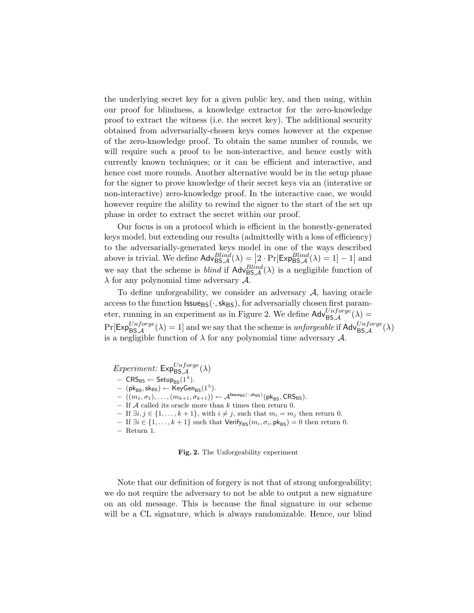the underlying secret key for a given public key, and then using, within our proof for blindness, a knowledge extractor for the zero-knowledge proof to extract the witness (i.e. the secret key). The additional security obtained from adversarially-chosen keys comes however at the expense of the zero-knowledge proof. To obtain the same number of rounds, we will require such a proof to be non-interactive, and hence costly with currently known techniques; or it can be efficient and interactive, and hence cost more rounds. Another alternative would be in the setup phase for the signer to prove knowledge of their secret keys via an (interative or non-interactive) zero-knowledge proof. In the interactive case, we would however require the ability to rewind the signer to the start of the set up phase in order to extract the secret within our proof.

Our focus is on a protocol which is efficient in the honestly-generated keys model, but extending our results (admittedly with a loss of efficiency) to the adversarially-generated keys model in one of the ways described above is trivial. We define  $\mathsf{Adv}_{\mathsf{BS},\mathcal{A}}^{Blind}(\lambda) = \left|2 \cdot \Pr[\mathsf{Exp}_{\mathsf{BS},\mathcal{A}}^{Blind}(\lambda) = 1] - 1\right|$  and we say that the scheme is *blind* if  $\mathsf{Adv}_{\mathsf{BS},\mathcal{A}}^{Blind}(\lambda)$  is a negligible function of  $\lambda$  for any polynomial time adversary  $\mathcal{A}$ .

To define unforgeability, we consider an adversary  $A$ , having oracle access to the function  $|s\angle s|_{BS}(\cdot, s\angle s)$ , for adversarially chosen first parameter, running in an experiment as in Figure 2. We define  $\mathsf{Adv}_{\mathsf{BS},\mathcal{A}}^{Unforce}(\lambda) =$  $Pr[\mathsf{Exp}_{\mathsf{BS},\mathcal{A}}^{Unforce}(\lambda) = 1]$  and we say that the scheme is *unforgeable* if  $\mathsf{Adv}_{\mathsf{BS},\mathcal{A}}^{Unforce}(\lambda)$ is a negligible function of  $\lambda$  for any polynomial time adversary  $\mathcal{A}$ .

Experiment:  $Exp_{BS,\mathcal{A}}^{Unforce}(\lambda)$ 

 $-$  CRS<sub>BS</sub>  $\leftarrow$  Setup<sub>BS</sub> $(1^{\lambda})$ .

 $-$  (pk<sub>BS</sub>, sk<sub>BS</sub>)  $\leftarrow$  KeyGen<sub>BS</sub>(1<sup> $\lambda$ </sup>).

 $-((m_1, \sigma_1), \ldots, (m_{k+1}, \sigma_{k+1})) \leftarrow \mathcal{A}^{\text{lassue}_{BS}(\cdot, \text{sk}_{BS})}(\text{pk}_{BS}, \text{CRS}_{BS}).$ 

- If  $A$  called its oracle more than  $k$  times then return 0.
- If  $\exists i, j \in \{1, ..., k+1\}$ , with  $i \neq j$ , such that  $m_i = m_j$  then return 0.
- If  $\exists i \in \{1, ..., k+1\}$  such that  $Verify_{BS}(m_i, \sigma_i, pk_{BS}) = 0$  then return 0.

Fig. 2. The Unforgeability experiment

Note that our definition of forgery is not that of strong unforgeability; we do not require the adversary to not be able to output a new signature on an old message. This is because the final signature in our scheme will be a CL signature, which is always randomizable. Hence, our blind

<sup>–</sup> Return 1.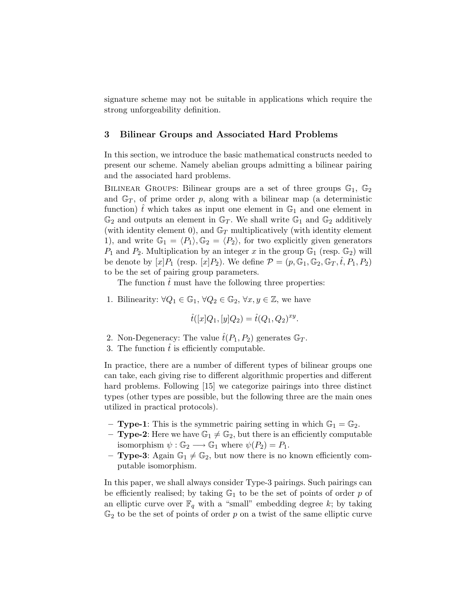signature scheme may not be suitable in applications which require the strong unforgeability definition.

### 3 Bilinear Groups and Associated Hard Problems

In this section, we introduce the basic mathematical constructs needed to present our scheme. Namely abelian groups admitting a bilinear pairing and the associated hard problems.

BILINEAR GROUPS: Bilinear groups are a set of three groups  $\mathbb{G}_1$ ,  $\mathbb{G}_2$ and  $\mathbb{G}_T$ , of prime order p, along with a bilinear map (a deterministic function)  $\hat{t}$  which takes as input one element in  $\mathbb{G}_1$  and one element in  $\mathbb{G}_2$  and outputs an element in  $\mathbb{G}_T$ . We shall write  $\mathbb{G}_1$  and  $\mathbb{G}_2$  additively (with identity element 0), and  $\mathbb{G}_T$  multiplicatively (with identity element 1), and write  $\mathbb{G}_1 = \langle P_1 \rangle, \mathbb{G}_2 = \langle P_2 \rangle$ , for two explicitly given generators  $P_1$  and  $P_2$ . Multiplication by an integer x in the group  $\mathbb{G}_1$  (resp.  $\mathbb{G}_2$ ) will be denote by  $[x]P_1$  (resp.  $[x]P_2$ ). We define  $\mathcal{P} = (p, \mathbb{G}_1, \mathbb{G}_2, \mathbb{G}_T, \hat{t}, P_1, P_2)$ to be the set of pairing group parameters.

The function  $t<sub>1</sub>$  must have the following three properties:

1. Bilinearity:  $\forall Q_1 \in \mathbb{G}_1, \forall Q_2 \in \mathbb{G}_2, \forall x, y \in \mathbb{Z}$ , we have

$$
\hat{t}([x]Q_1, [y]Q_2) = \hat{t}(Q_1, Q_2)^{xy}.
$$

- 2. Non-Degeneracy: The value  $\hat{t}(P_1, P_2)$  generates  $\mathbb{G}_T$ .
- 3. The function  $\hat{t}$  is efficiently computable.

In practice, there are a number of different types of bilinear groups one can take, each giving rise to different algorithmic properties and different hard problems. Following [15] we categorize pairings into three distinct types (other types are possible, but the following three are the main ones utilized in practical protocols).

- **Type-1**: This is the symmetric pairing setting in which  $\mathbb{G}_1 = \mathbb{G}_2$ .
- **Type-2**: Here we have  $\mathbb{G}_1 \neq \mathbb{G}_2$ , but there is an efficiently computable isomorphism  $\psi : \mathbb{G}_2 \longrightarrow \mathbb{G}_1$  where  $\psi(P_2) = P_1$ .
- **Type-3**: Again  $\mathbb{G}_1 \neq \mathbb{G}_2$ , but now there is no known efficiently computable isomorphism.

In this paper, we shall always consider Type-3 pairings. Such pairings can be efficiently realised; by taking  $\mathbb{G}_1$  to be the set of points of order p of an elliptic curve over  $\mathbb{F}_q$  with a "small" embedding degree k; by taking  $\mathbb{G}_2$  to be the set of points of order p on a twist of the same elliptic curve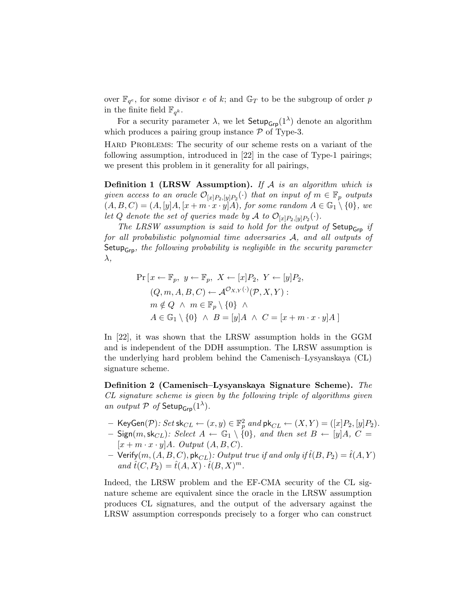over  $\mathbb{F}_{q^e}$ , for some divisor e of k; and  $\mathbb{G}_T$  to be the subgroup of order p in the finite field  $\mathbb{F}_{q^k}$ .

For a security parameter  $\lambda$ , we let  $\mathsf{Setup}_{\mathsf{Grp}}(1^{\lambda})$  denote an algorithm which produces a pairing group instance  $P$  of Type-3.

HARD PROBLEMS: The security of our scheme rests on a variant of the following assumption, introduced in [22] in the case of Type-1 pairings; we present this problem in it generality for all pairings,

**Definition 1 (LRSW Assumption).** If  $A$  is an algorithm which is given access to an oracle  $\mathcal{O}_{[x]P_2,[y]P_2}(\cdot)$  that on input of  $m \in \mathbb{F}_p$  outputs  $(A, B, C) = (A, [y]A, [x + m \cdot x \cdot y]A),$  for some random  $A \in \mathbb{G}_1 \setminus \{0\},$  we let Q denote the set of queries made by A to  $\mathcal{O}_{[x]P_2,[y]P_2}(\cdot)$ .

The LRSW assumption is said to hold for the output of  $Setup_{Gro}$  if for all probabilistic polynomial time adversaries A, and all outputs of Setup<sub>Grp</sub>, the following probability is negligible in the security parameter  $\lambda$ ,

$$
\Pr[x \leftarrow \mathbb{F}_p, y \leftarrow \mathbb{F}_p, X \leftarrow [x]P_2, Y \leftarrow [y]P_2, (Q, m, A, B, C) \leftarrow \mathcal{A}^{\mathcal{O}_{X,Y}(\cdot)}(\mathcal{P}, X, Y) : m \notin Q \land m \in \mathbb{F}_p \setminus \{0\} \land A \in \mathbb{G}_1 \setminus \{0\} \land B = [y]A \land C = [x + m \cdot x \cdot y]A \}
$$

In [22], it was shown that the LRSW assumption holds in the GGM and is independent of the DDH assumption. The LRSW assumption is the underlying hard problem behind the Camenisch–Lysyanskaya (CL) signature scheme.

Definition 2 (Camenisch–Lysyanskaya Signature Scheme). The CL signature scheme is given by the following triple of algorithms given an output  $P$  of Setup<sub>Grp</sub> $(1^{\lambda})$ .

- $-$  KeyGen $(\mathcal{P})$ :  $Set$  sk $_{CL} \leftarrow (x, y) \in \mathbb{F}_p^2$  and  $pk_{CL} \leftarrow (X, Y) = ([x]P_2, [y]P_2)$ .
- $-$  Sign(m, sk<sub>CL</sub>): Select  $A \leftarrow \mathbb{G}_1 \setminus \{0\}$ , and then set  $B \leftarrow [y]A, C =$  $[x + m \cdot x \cdot y]A$ . Output  $(A, B, C)$ .
- Verify $(m, (A, B, C), \mathsf{pk}_{CL})$ : Output true if and only if  $\hat{t}(B, P_2) = \hat{t}(A, Y)$ and  $\hat{t}(C, P_2) = \hat{t}(A, X) \cdot \hat{t}(B, X)^m$ .

Indeed, the LRSW problem and the EF-CMA security of the CL signature scheme are equivalent since the oracle in the LRSW assumption produces CL signatures, and the output of the adversary against the LRSW assumption corresponds precisely to a forger who can construct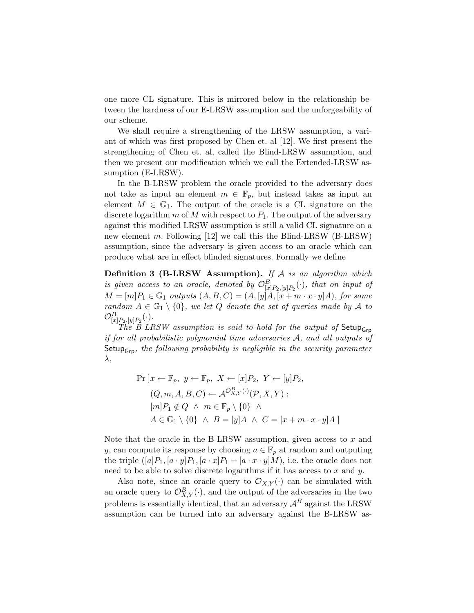one more CL signature. This is mirrored below in the relationship between the hardness of our E-LRSW assumption and the unforgeability of our scheme.

We shall require a strengthening of the LRSW assumption, a variant of which was first proposed by Chen et. al [12]. We first present the strengthening of Chen et. al, called the Blind-LRSW assumption, and then we present our modification which we call the Extended-LRSW assumption (E-LRSW).

In the B-LRSW problem the oracle provided to the adversary does not take as input an element  $m \in \mathbb{F}_p$ , but instead takes as input an element  $M \in \mathbb{G}_1$ . The output of the oracle is a CL signature on the discrete logarithm m of M with respect to  $P_1$ . The output of the adversary against this modified LRSW assumption is still a valid CL signature on a new element  $m$ . Following [12] we call this the Blind-LRSW (B-LRSW) assumption, since the adversary is given access to an oracle which can produce what are in effect blinded signatures. Formally we define

**Definition 3 (B-LRSW Assumption).** If  $A$  is an algorithm which is given access to an oracle, denoted by  $\mathcal{O}_{[x]P_2,[y]P_2}^B(\cdot)$ , that on input of  $M = [m]P_1 \in \mathbb{G}_1$  outputs  $(A, B, C) = (A, [y]A, [x + m \cdot x \cdot y]A)$ , for some random  $A \in \mathbb{G}_1 \setminus \{0\}$ , we let Q denote the set of queries made by A to  $\mathcal{O}^B_{[x]P_2,[y]P_2}(\cdot).$ 

The  $\overline{B}$ -LRSW assumption is said to hold for the output of Setup<sub>Grp</sub> if for all probabilistic polynomial time adversaries A, and all outputs of Setup<sub>Grp</sub>, the following probability is negligible in the security parameter λ,

$$
\Pr[x \leftarrow \mathbb{F}_p, y \leftarrow \mathbb{F}_p, X \leftarrow [x]P_2, Y \leftarrow [y]P_2,
$$
  

$$
(Q, m, A, B, C) \leftarrow \mathcal{A}^{\mathcal{O}_{X,Y}^B(\cdot)}(\mathcal{P}, X, Y) :
$$
  

$$
[m]P_1 \notin Q \land m \in \mathbb{F}_p \setminus \{0\} \land
$$
  

$$
A \in \mathbb{G}_1 \setminus \{0\} \land B = [y]A \land C = [x + m \cdot x \cdot y]A]
$$

Note that the oracle in the B-LRSW assumption, given access to  $x$  and y, can compute its response by choosing  $a \in \mathbb{F}_p$  at random and outputing the triple  $([a]P_1, [a \cdot y]P_1, [a \cdot x]P_1 + [a \cdot x \cdot y]M)$ , i.e. the oracle does not need to be able to solve discrete logarithms if it has access to  $x$  and  $y$ .

Also note, since an oracle query to  $\mathcal{O}_{X,Y}(\cdot)$  can be simulated with an oracle query to  $\mathcal{O}_{X,Y}^B(\cdot)$ , and the output of the adversaries in the two problems is essentially identical, that an adversary  $\mathcal{A}^B$  against the LRSW assumption can be turned into an adversary against the B-LRSW as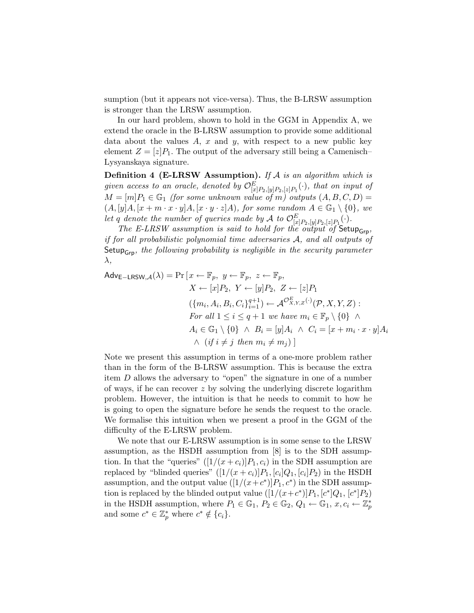sumption (but it appears not vice-versa). Thus, the B-LRSW assumption is stronger than the LRSW assumption.

In our hard problem, shown to hold in the GGM in Appendix A, we extend the oracle in the B-LRSW assumption to provide some additional data about the values  $A$ ,  $x$  and  $y$ , with respect to a new public key element  $Z = [z]P_1$ . The output of the adversary still being a Camenisch-Lysyanskaya signature.

**Definition 4 (E-LRSW Assumption).** If  $A$  is an algorithm which is given access to an oracle, denoted by  $\mathcal{O}_{[x]P_2,[y]P_2,[z]P_1}^E(\cdot)$ , that on input of  $M = [m]P_1 \in \mathbb{G}_1$  (for some unknown value of m) outputs  $(A, B, C, D) =$  $(A, [y]A, [x + m \cdot x \cdot y]A, [x \cdot y \cdot z]A),$  for some random  $A \in \mathbb{G}_1 \setminus \{0\},$  we let q denote the number of queries made by A to  $\mathcal{O}_{[x]P_2,[y]P_2,[z]P_1}^E(\cdot)$ .

The E-LRSW assumption is said to hold for the output of  $Setup_{Grp}$ , if for all probabilistic polynomial time adversaries A, and all outputs of Setup<sub>Grp</sub>, the following probability is negligible in the security parameter λ,

$$
\begin{aligned}\n\mathsf{Adv}_{\mathsf{E-LRSW},\mathcal{A}}(\lambda) &= \Pr\left[x \leftarrow \mathbb{F}_p, \ y \leftarrow \mathbb{F}_p, \ z \leftarrow \mathbb{F}_p, \\
X \leftarrow [x]P_2, \ Y \leftarrow [y]P_2, \ Z \leftarrow [z]P_1 \\
(\{m_i, A_i, B_i, C_i\}_{i=1}^{q+1}) &\leftarrow \mathcal{A}^{O_{X,Y,Z}^{E}(\cdot)}(\mathcal{P}, X, Y, Z) : \\
\text{For all } 1 \leq i \leq q+1 \text{ we have } m_i \in \mathbb{F}_p \setminus \{0\} \ \land \\
A_i \in \mathbb{G}_1 \setminus \{0\} \ \land \ B_i = [y]A_i \ \land \ C_i = [x + m_i \cdot x \cdot y]A_i \\
\land \ (if \ i \neq j \text{ then } m_i \neq m_j) \]\n\end{aligned}
$$

Note we present this assumption in terms of a one-more problem rather than in the form of the B-LRSW assumption. This is because the extra item D allows the adversary to "open" the signature in one of a number of ways, if he can recover z by solving the underlying discrete logarithm problem. However, the intuition is that he needs to commit to how he is going to open the signature before he sends the request to the oracle. We formalise this intuition when we present a proof in the GGM of the difficulty of the E-LRSW problem.

We note that our E-LRSW assumption is in some sense to the LRSW assumption, as the HSDH assumption from [8] is to the SDH assumption. In that the "queries"  $([1/(x+c_i)]P_1, c_i)$  in the SDH assumption are replaced by "blinded queries"  $([1/(x + c_i)]P_1, [c_i]Q_1, [c_i]P_2)$  in the HSDH assumption, and the output value  $([1/(x+c^*)]P_1, c^*)$  in the SDH assumption is replaced by the blinded output value  $([1/(x+c^*)]P_1,[c^*]Q_1,[c^*]P_2)$ in the HSDH assumption, where  $P_1 \in \mathbb{G}_1$ ,  $P_2 \in \mathbb{G}_2$ ,  $Q_1 \leftarrow \mathbb{G}_1$ ,  $x, c_i \leftarrow \mathbb{Z}_p^*$ and some  $c^* \in \mathbb{Z}_p^*$  where  $c^* \notin \{c_i\}.$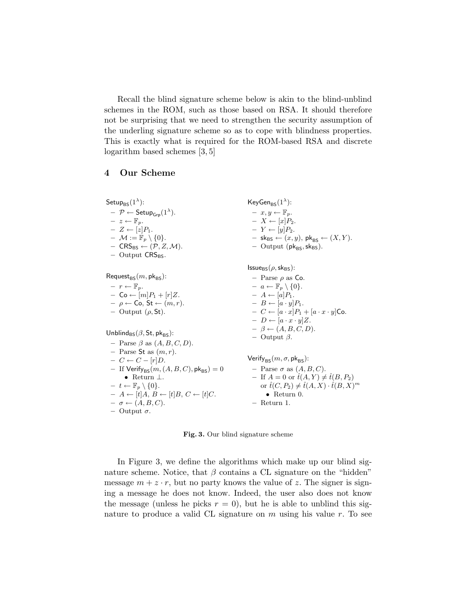Recall the blind signature scheme below is akin to the blind-unblind schemes in the ROM, such as those based on RSA. It should therefore not be surprising that we need to strengthen the security assumption of the underling signature scheme so as to cope with blindness properties. This is exactly what is required for the ROM-based RSA and discrete logarithm based schemes [3, 5]

#### 4 Our Scheme

 $\mathsf{Setup}_{\mathsf{BS}}(1^\lambda)$ :  $- \mathcal{P} \leftarrow \mathsf{Setup}_{\mathsf{Grp}}(1^\lambda).$  $- z \leftarrow \mathbb{F}_p$ .  $- Z \leftarrow [z] P_1.$  $- \mathcal{M} := \mathbb{F}_p \setminus \{0\}.$  $-$  CRS<sub>BS</sub>  $\leftarrow$  ( $\mathcal{P}, Z, \mathcal{M}$ ).  $-$  Output CRS<sub>BS</sub>. Request $_{BS}(m, \mathsf{pk}_{BS})$ :  $- r \leftarrow \mathbb{F}_p$ . – Co ←  $[m]P_1 + [r]Z$ .  $- \ \rho \leftarrow \mathsf{Co}, \, \mathsf{St} \leftarrow (m,r).$ – Output  $(\rho, \mathsf{St})$ . Unblind $_{BS}(\beta, St, pk_{BS})$ : – Parse  $\beta$  as  $(A, B, C, D)$ . – Parse St as  $(m, r)$ .  $- C \leftarrow C - [r]D.$ – If Verify<sub>BS</sub> $(m, (A, B, C), \mathsf{pk}_{\mathsf{BS}}) = 0$ • Return ⊥. –  $t$  ←  $\mathbb{F}_p \setminus \{0\}.$  $- A \leftarrow [t]A, B \leftarrow [t]B, C \leftarrow [t]C.$  $- \sigma \leftarrow (A, B, C).$ – Output σ.  $\mathsf{KeyGen}_{\mathsf{BS}}(1^\lambda)$ :  $- x, y \leftarrow \mathbb{F}_p$ . – X ← [x]P2. – Y ← [y]P2.  $-$  sk<sub>BS</sub>  $\leftarrow (x, y)$ , pk<sub>BS</sub>  $\leftarrow (X, Y)$ . – Output ( $pk_{BS}$ , sk<sub>BS</sub>).  $\mathsf{Issue}_{\mathsf{BS}}(\rho,\mathsf{sk}_{\mathsf{BS}})$ : – Parse  $\rho$  as Co. –  $a \leftarrow \mathbb{F}_p \setminus \{0\}.$  $- A \leftarrow [a] P_1.$  $- B \leftarrow [a \cdot y] P_1.$  $-C \leftarrow [a \cdot x]P_1 + [a \cdot x \cdot y]$ Co.  $- D \leftarrow [a \cdot x \cdot y]Z.$  $– \beta \leftarrow (A, B, C, D).$ – Output β. Verify $_{BS}(m, \sigma, \mathsf{pk}_{BS})$ : – Parse  $\sigma$  as  $(A, B, C)$ . – If  $A = 0$  or  $\hat{t}(A, Y) \neq \hat{t}(B, P_2)$ or  $\hat{t}(C, P_2) \neq \hat{t}(A, X) \cdot \hat{t}(B, X)^m$ • Return 0. – Return 1.

Fig. 3. Our blind signature scheme

In Figure 3, we define the algorithms which make up our blind signature scheme. Notice, that  $\beta$  contains a CL signature on the "hidden" message  $m + z \cdot r$ , but no party knows the value of z. The signer is signing a message he does not know. Indeed, the user also does not know the message (unless he picks  $r = 0$ ), but he is able to unblind this signature to produce a valid CL signature on  $m$  using his value  $r$ . To see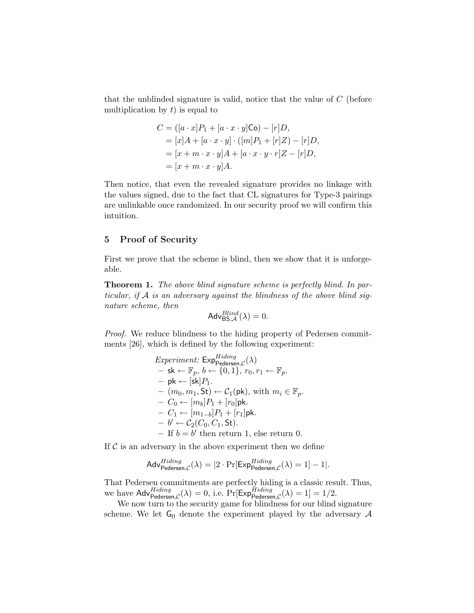that the unblinded signature is valid, notice that the value of C (before multiplication by  $t$ ) is equal to

$$
C = ([a \cdot x]P_1 + [a \cdot x \cdot y]C_0) - [r]D,
$$
  
= [x]A + [a \cdot x \cdot y] \cdot ([m]P\_1 + [r]Z) - [r]D,  
= [x + m \cdot x \cdot y]A + [a \cdot x \cdot y \cdot r]Z - [r]D,  
= [x + m \cdot x \cdot y]A.

Then notice, that even the revealed signature provides no linkage with the values signed, due to the fact that CL signatures for Type-3 pairings are unlinkable once randomized. In our security proof we will confirm this intuition.

# 5 Proof of Security

First we prove that the scheme is blind, then we show that it is unforgeable.

Theorem 1. The above blind signature scheme is perfectly blind. In particular, if  $A$  is an adversary against the blindness of the above blind signature scheme, then

$$
\mathsf{Adv}_{\mathsf{BS}, \mathcal{A}}^{\mathit{Blind}}(\lambda) = 0.
$$

Proof. We reduce blindness to the hiding property of Pedersen commitments [26], which is defined by the following experiment:

*Experiment:* 
$$
\exp_{\text{Pedersen},\mathcal{C}}^{Hiding}(\lambda)
$$
\n $-\text{sk} \leftarrow \mathbb{F}_p, b \leftarrow \{0,1\}, r_0, r_1 \leftarrow \mathbb{F}_p.$ \n $-\text{pk} \leftarrow [\text{sk}]P_1.$ \n $-(m_0, m_1, \text{St}) \leftarrow C_1(\text{pk}), \text{ with } m_i \in \mathbb{F}_p.$ \n $-C_0 \leftarrow [m_b]P_1 + [r_0]\text{pk}.$ \n $-C_1 \leftarrow [m_{1-b}]P_1 + [r_1]\text{pk}.$ \n $-b' \leftarrow C_2(C_0, C_1, \text{St}).$ \n $-\text{ If } b = b' \text{ then return 1, else return 0.}$ 

If  $\mathcal C$  is an adversary in the above experiment then we define

$$
\mathsf{Adv}^{Hiding}_{\mathsf{Pedersen}, \mathcal{C}}(\lambda) = |2 \cdot \Pr[\mathsf{Exp}^{Hiding}_{\mathsf{Pedersen}, \mathcal{C}}(\lambda) = 1] - 1|.
$$

That Pedersen commitments are perfectly hiding is a classic result. Thus, we have  $\mathsf{Adv}_{\mathsf{Pedersen},\mathcal{C}}^{Hiding}(\lambda) = 0$ , i.e.  $\Pr[\mathsf{Exp}_{\mathsf{Pedersen},\mathcal{C}}^{Hiding}(\lambda) = 1] = 1/2$ .

We now turn to the security game for blindness for our blind signature scheme. We let  $G_0$  denote the experiment played by the adversary  $A$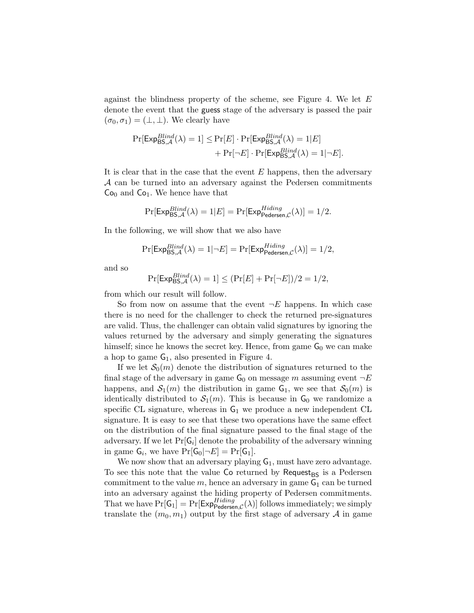against the blindness property of the scheme, see Figure 4. We let  $E$ denote the event that the guess stage of the adversary is passed the pair  $(\sigma_0, \sigma_1) = (\perp, \perp)$ . We clearly have

$$
\begin{aligned} \Pr[\mathsf{Exp}_{\mathsf{BS},\mathcal{A}}^{Blind}(\lambda) = 1] &\leq \Pr[E] \cdot \Pr[\mathsf{Exp}_{\mathsf{BS},\mathcal{A}}^{Blind}(\lambda) = 1 | E] \\ &+ \Pr[\neg E] \cdot \Pr[\mathsf{Exp}_{\mathsf{BS},\mathcal{A}}^{Blind}(\lambda) = 1 | \neg E]. \end{aligned}
$$

It is clear that in the case that the event  $E$  happens, then the adversary A can be turned into an adversary against the Pedersen commitments  $Co<sub>0</sub>$  and  $Co<sub>1</sub>$ . We hence have that

$$
\Pr[\mathsf{Exp}_{\mathsf{BS},\mathcal{A}}^{\mathit{Blind}}(\lambda) = 1 | E] = \Pr[\mathsf{Exp}_{\mathsf{Pedersen},\mathcal{C}}^{\mathit{Hiding}}(\lambda)] = 1/2.
$$

In the following, we will show that we also have

$$
\Pr[\mathsf{Exp}_{\mathsf{BS},\mathcal{A}}^{Blind}(\lambda) = 1 | \neg E] = \Pr[\mathsf{Exp}_{\mathsf{Pedersen},\mathcal{C}}^{Hiding}(\lambda)] = 1/2,
$$

and so

$$
\Pr[\mathsf{Exp}_{\mathsf{BS},\mathcal{A}}^{Blind}(\lambda) = 1] \leq (\Pr[E] + \Pr[\neg E])/2 = 1/2,
$$

from which our result will follow.

So from now on assume that the event  $\neg E$  happens. In which case there is no need for the challenger to check the returned pre-signatures are valid. Thus, the challenger can obtain valid signatures by ignoring the values returned by the adversary and simply generating the signatures himself; since he knows the secret key. Hence, from game  $G_0$  we can make a hop to game  $G_1$ , also presented in Figure 4.

If we let  $\mathcal{S}_0(m)$  denote the distribution of signatures returned to the final stage of the adversary in game  $G_0$  on message m assuming event  $\neg E$ happens, and  $S_1(m)$  the distribution in game  $G_1$ , we see that  $S_0(m)$  is identically distributed to  $S_1(m)$ . This is because in  $G_0$  we randomize a specific CL signature, whereas in  $G_1$  we produce a new independent CL signature. It is easy to see that these two operations have the same effect on the distribution of the final signature passed to the final stage of the adversary. If we let  $Pr[G_i]$  denote the probability of the adversary winning in game  $G_i$ , we have  $Pr[G_0 | \neg E] = Pr[G_1].$ 

We now show that an adversary playing  $G_1$ , must have zero advantage. To see this note that the value  $\overline{C}$  returned by Request<sub>BS</sub> is a Pedersen commitment to the value m, hence an adversary in game  $G_1$  can be turned into an adversary against the hiding property of Pedersen commitments. That we have  $Pr[G_1] = Pr[E \times p_{\text{Pedersen},\mathcal{C}}^{Hiding}(\lambda)]$  follows immediately; we simply translate the  $(m_0, m_1)$  output by the first stage of adversary A in game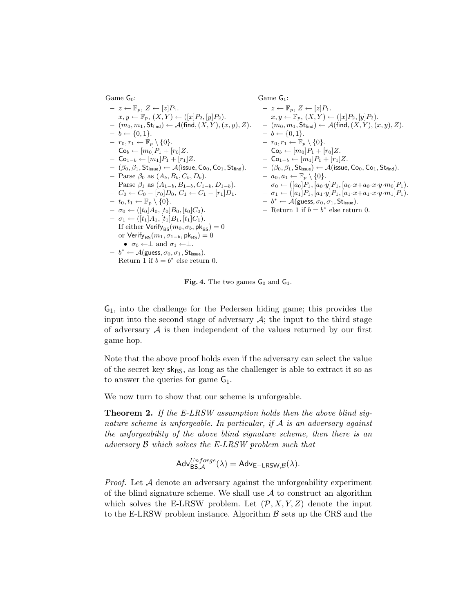#### Game  $G_0$ :  $- z \leftarrow \mathbb{F}_p, Z \leftarrow [z]P_1.$ - x, y ←  $\mathbb{F}_p$ ,  $(X, Y)$  ←  $([x]P_2, [y]P_2)$ .  $(m_0, m_1, \mathsf{St}_{\mathsf{find}}) \leftarrow \mathcal{A}(\mathsf{find}, (X, Y), (x, y), Z).$  $- b \leftarrow \{0, 1\}.$  $- r_0, r_1 \leftarrow \mathbb{F}_p \setminus \{0\}.$  $-$  Co<sub>b</sub>  $\leftarrow$   $[m_0]P_1 + [r_0]Z$ .  $-$  Co<sub>1−b</sub> ←  $[m_1]P_1 + [r_1]Z$ .  $(\beta_0, \beta_1, \mathsf{St}_{\mathsf{issue}}) \leftarrow \mathcal{A}(\mathsf{issue}, \mathsf{Co}_0, \mathsf{Co}_1, \mathsf{St}_{\mathsf{find}}).$ – Parse  $\beta_0$  as  $(A_b, B_b, C_b, D_b)$ . – Parse β<sup>1</sup> as (A1−b, B1−b, C1−b, D1−b). –  $C_0$  ←  $C_0$  –  $[r_0]D_0$ ,  $C_1$  ←  $C_1$  –  $[r_1]D_1$ .  $- t_0, t_1 \leftarrow \mathbb{F}_p \setminus \{0\}.$  $- \sigma_0 \leftarrow ([t_0] A_0, [t_0] B_0, [t_0] C_0).$  $- \sigma_1 \leftarrow ([t_1]A_1, [t_1]B_1, [t_1]C_1).$ – If either Verify<sub>BS</sub> $(m_0, \sigma_b, \mathsf{pk}_{\mathsf{BS}}) = 0$ or Verify<sub>BS</sub> $(m_1, \sigma_{1-b}, \mathsf{pk}_{\mathsf{BS}}) = 0$ •  $\sigma_0 \leftarrow \perp$  and  $\sigma_1 \leftarrow \perp$ .  $- b^* \leftarrow \mathcal{A}(\text{guess}, \sigma_0, \sigma_1, \text{St}_{\text{issue}}).$  $-$  Return 1 if  $b = b^*$  else return 0. Game $\mathsf{G}_1$ :  $- z \leftarrow \mathbb{F}_p, Z \leftarrow [z]P_1.$  $- x, y \leftarrow \mathbb{F}_p, (X, Y) \leftarrow ([x]P_2, [y]P_2).$  $(m_0, m_1, \mathsf{St}_{\mathsf{find}}) \leftarrow \mathcal{A}(\mathsf{find}, (X, Y), (x, y), Z).$  $- b \leftarrow \{0, 1\}.$  $- r_0, r_1 \leftarrow \mathbb{F}_p \setminus \{0\}.$  $-$  Co<sub>b</sub>  $\leftarrow$   $[m_0]P_1 + [r_0]Z$ . – Co<sub>1−b</sub> ←  $[m_1]P_1 + [r_1]Z$ .  $(\beta_0, \beta_1, \mathsf{St}_{\text{issue}}) \leftarrow \mathcal{A}(\text{issue}, \mathsf{Co}_0, \mathsf{Co}_1, \mathsf{St}_{\text{find}}).$  $- a_0, a_1 \leftarrow \mathbb{F}_p \setminus \{0\}.$  $- \sigma_0 \leftarrow ([a_0]P_1, [a_0 \cdot y]P_1, [a_0 \cdot x + a_0 \cdot x \cdot y \cdot m_0]P_1).$  $- \sigma_1 \leftarrow ([a_1]P_1, [a_1 \cdot y]P_1, [a_1 \cdot x + a_1 \cdot x \cdot y \cdot m_1]P_1).$  $- b^* \leftarrow \mathcal{A}(\text{guess}, \sigma_0, \sigma_1, \text{St}_{\text{issue}}).$  $-$  Return 1 if  $b = b^*$  else return 0.

Fig. 4. The two games  $G_0$  and  $G_1$ .

G1, into the challenge for the Pedersen hiding game; this provides the input into the second stage of adversary  $A$ ; the input to the third stage of adversary  $A$  is then independent of the values returned by our first game hop.

Note that the above proof holds even if the adversary can select the value of the secret key  $sk_{BS}$ , as long as the challenger is able to extract it so as to answer the queries for game  $G_1$ .

We now turn to show that our scheme is unforgeable.

Theorem 2. If the E-LRSW assumption holds then the above blind signature scheme is unforgeable. In particular, if  $A$  is an adversary against the unforgeability of the above blind signature scheme, then there is an adversary B which solves the E-LRSW problem such that

$$
\mathsf{Adv}_{\mathsf{BS}, \mathcal{A}}^{\mathit{Unforget}}(\lambda) = \mathsf{Adv}_{\mathsf{E-LRSW}, \mathcal{B}}(\lambda).
$$

*Proof.* Let  $A$  denote an adversary against the unforgeability experiment of the blind signature scheme. We shall use  $A$  to construct an algorithm which solves the E-LRSW problem. Let  $(\mathcal{P}, X, Y, Z)$  denote the input to the E-LRSW problem instance. Algorithm  $\beta$  sets up the CRS and the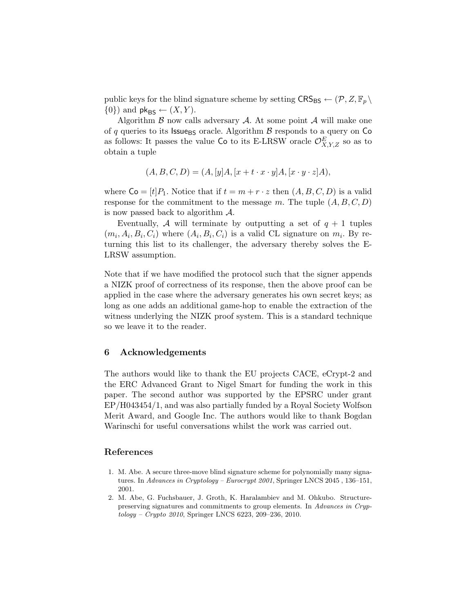public keys for the blind signature scheme by setting  $CRS_{BS} \leftarrow (\mathcal{P}, Z, \mathbb{F}_p \setminus \mathbb{F}_p)$  $\{0\}$  and  $pk_{BS} \leftarrow (X, Y)$ .

Algorithm  $\beta$  now calls adversary  $\mathcal A$ . At some point  $\mathcal A$  will make one of q queries to its Issue<sub>BS</sub> oracle. Algorithm  $\beta$  responds to a query on Co as follows: It passes the value Co to its E-LRSW oracle  $\mathcal{O}_{X,Y,Z}^E$  so as to obtain a tuple

$$
(A, B, C, D) = (A, [y]A, [x + t \cdot x \cdot y]A, [x \cdot y \cdot z]A),
$$

where  $\mathsf{Co} = [t]P_1$ . Notice that if  $t = m + r \cdot z$  then  $(A, B, C, D)$  is a valid response for the commitment to the message m. The tuple  $(A, B, C, D)$ is now passed back to algorithm  $\mathcal{A}$ .

Eventually, A will terminate by outputting a set of  $q + 1$  tuples  $(m_i, A_i, B_i, C_i)$  where  $(A_i, B_i, C_i)$  is a valid CL signature on  $m_i$ . By returning this list to its challenger, the adversary thereby solves the E-LRSW assumption.

Note that if we have modified the protocol such that the signer appends a NIZK proof of correctness of its response, then the above proof can be applied in the case where the adversary generates his own secret keys; as long as one adds an additional game-hop to enable the extraction of the witness underlying the NIZK proof system. This is a standard technique so we leave it to the reader.

### 6 Acknowledgements

The authors would like to thank the EU projects CACE, eCrypt-2 and the ERC Advanced Grant to Nigel Smart for funding the work in this paper. The second author was supported by the EPSRC under grant EP/H043454/1, and was also partially funded by a Royal Society Wolfson Merit Award, and Google Inc. The authors would like to thank Bogdan Warinschi for useful conversations whilst the work was carried out.

#### References

- 1. M. Abe. A secure three-move blind signature scheme for polynomially many signatures. In Advances in Cryptology – Eurocrypt 2001, Springer LNCS 2045 , 136–151, 2001.
- 2. M. Abe, G. Fuchsbauer, J. Groth, K. Haralambiev and M. Ohkubo. Structurepreserving signatures and commitments to group elements. In Advances in Cryptology – Crypto 2010, Springer LNCS 6223, 209–236, 2010.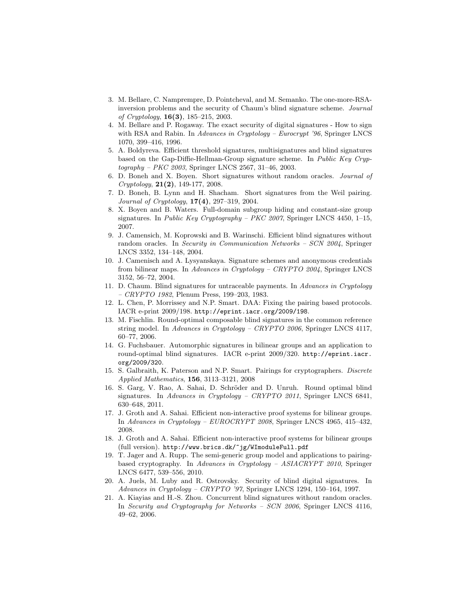- 3. M. Bellare, C. Namprempre, D. Pointcheval, and M. Semanko. The one-more-RSAinversion problems and the security of Chaum's blind signature scheme. Journal of Cryptology, 16(3), 185–215, 2003.
- 4. M. Bellare and P. Rogaway. The exact security of digital signatures How to sign with RSA and Rabin. In Advances in Cryptology – Eurocrypt '96, Springer LNCS 1070, 399–416, 1996.
- 5. A. Boldyreva. Efficient threshold signatures, multisignatures and blind signatures based on the Gap-Diffie-Hellman-Group signature scheme. In Public Key Cryp $to graphy - PKC 2003$ , Springer LNCS 2567, 31-46, 2003.
- 6. D. Boneh and X. Boyen. Short signatures without random oracles. Journal of Cryptology, 21(2), 149-177, 2008.
- 7. D. Boneh, B. Lynn and H. Shacham. Short signatures from the Weil pairing. *Journal of Cryptology*,  $17(4)$ ,  $297-319$ ,  $2004$ .
- 8. X. Boyen and B. Waters. Full-domain subgroup hiding and constant-size group signatures. In Public Key Cryptography – PKC 2007, Springer LNCS 4450, 1–15, 2007.
- 9. J. Camensich, M. Koprowski and B. Warinschi. Efficient blind signatures without random oracles. In Security in Communication Networks – SCN 2004, Springer LNCS 3352, 134–148, 2004.
- 10. J. Camenisch and A. Lysyanskaya. Signature schemes and anonymous credentials from bilinear maps. In Advances in Cryptology – CRYPTO 2004, Springer LNCS 3152, 56–72, 2004.
- 11. D. Chaum. Blind signatures for untraceable payments. In Advances in Cryptology  $-$  CRYPTO 1982, Plenum Press, 199-203, 1983.
- 12. L. Chen, P. Morrissey and N.P. Smart. DAA: Fixing the pairing based protocols. IACR e-print 2009/198. http://eprint.iacr.org/2009/198.
- 13. M. Fischlin. Round-optimal composable blind signatures in the common reference string model. In Advances in Cryptology – CRYPTO 2006, Springer LNCS 4117, 60–77, 2006.
- 14. G. Fuchsbauer. Automorphic signatures in bilinear groups and an application to round-optimal blind signatures. IACR e-print 2009/320. http://eprint.iacr. org/2009/320.
- 15. S. Galbraith, K. Paterson and N.P. Smart. Pairings for cryptographers. Discrete Applied Mathematics, 156, 3113–3121, 2008
- 16. S. Garg, V. Rao, A. Sahai, D. Schröder and D. Unruh. Round optimal blind signatures. In Advances in Cryptology – CRYPTO 2011, Springer LNCS 6841, 630–648, 2011.
- 17. J. Groth and A. Sahai. Efficient non-interactive proof systems for bilinear groups. In Advances in Cryptology – EUROCRYPT 2008, Springer LNCS 4965, 415–432, 2008.
- 18. J. Groth and A. Sahai. Efficient non-interactive proof systems for bilinear groups (full version). http://www.brics.dk/~jg/WImoduleFull.pdf
- 19. T. Jager and A. Rupp. The semi-generic group model and applications to pairingbased cryptography. In Advances in Cryptology – ASIACRYPT 2010, Springer LNCS 6477, 539–556, 2010.
- 20. A. Juels, M. Luby and R. Ostrovsky. Security of blind digital signatures. In Advances in Cryptology – CRYPTO '97, Springer LNCS 1294, 150–164, 1997.
- 21. A. Kiayias and H.-S. Zhou. Concurrent blind signatures without random oracles. In Security and Cryptography for Networks – SCN 2006, Springer LNCS 4116, 49–62, 2006.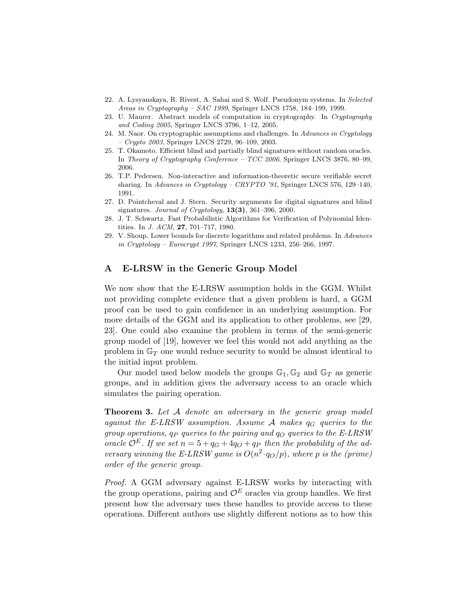- 22. A. Lysyanskaya, R. Rivest, A. Sahai and S. Wolf. Pseudonym systems. In Selected Areas in Cryptography –  $SAC$  1999, Springer LNCS 1758, 184–199, 1999.
- 23. U. Maurer. Abstract models of computation in cryptography. In Cryptography and Coding 2005, Springer LNCS 3796, 1–12, 2005.
- 24. M. Naor. On cryptographic assumptions and challenges. In Advances in Cryptology  $-$  Crypto 2003, Springer LNCS 2729, 96–109, 2003.
- 25. T. Okamoto. Efficient blind and partially blind signatures without random oracles. In Theory of Cryptography Conference –  $TCC$  2006, Springer LNCS 3876, 80–99, 2006.
- 26. T.P. Pedersen. Non-interactive and information-theoretic secure verifiable secret sharing. In Advances in Cryptology – CRYPTO '91, Springer LNCS 576, 129–140, 1991.
- 27. D. Pointcheval and J. Stern. Security arguments for digital signatures and blind signatures. Journal of Cryptology,  $13(3)$ ,  $361-396$ ,  $2000$ .
- 28. J. T. Schwartz. Fast Probabilistic Algorithms for Verification of Polynomial Identities. In J. ACM, 27, 701–717, 1980.
- 29. V. Shoup. Lower bounds for discrete logarithms and related problems. In Advances in Cryptology – Eurocrypt 1997, Springer LNCS 1233, 256–266, 1997.

## A E-LRSW in the Generic Group Model

We now show that the E-LRSW assumption holds in the GGM. Whilst not providing complete evidence that a given problem is hard, a GGM proof can be used to gain confidence in an underlying assumption. For more details of the GGM and its application to other problems, see [29, 23]. One could also examine the problem in terms of the semi-generic group model of [19], however we feel this would not add anything as the problem in  $\mathbb{G}_T$  one would reduce security to would be almost identical to the initial input problem.

Our model used below models the groups  $\mathbb{G}_1, \mathbb{G}_2$  and  $\mathbb{G}_T$  as generic groups, and in addition gives the adversary access to an oracle which simulates the pairing operation.

**Theorem 3.** Let A denote an adversary in the generic group model against the E-LRSW assumption. Assume  $A$  makes  $q_G$  queries to the group operations,  $q_P$  queries to the pairing and  $q_O$  queries to the E-LRSW oracle  $\mathcal{O}^E$ . If we set  $n = 5 + q_G + 4q_O + q_P$  then the probability of the adversary winning the E-LRSW game is  $O(n^2 \cdot q_O/p)$ , where p is the (prime) order of the generic group.

Proof. A GGM adversary against E-LRSW works by interacting with the group operations, pairing and  $\mathcal{O}^E$  oracles via group handles. We first present how the adversary uses these handles to provide access to these operations. Different authors use slightly different notions as to how this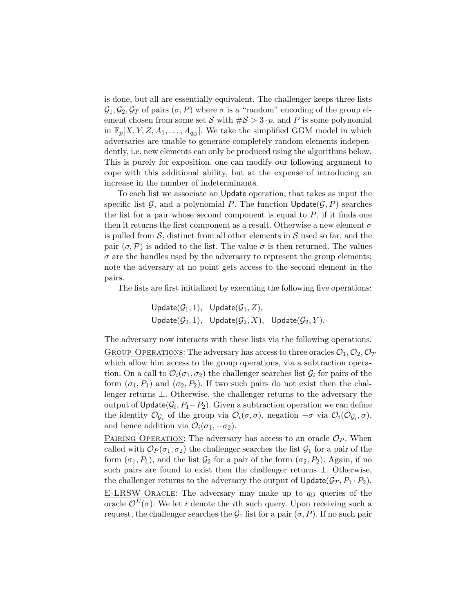is done, but all are essentially equivalent. The challenger keeps three lists  $\mathcal{G}_1, \mathcal{G}_2, \mathcal{G}_T$  of pairs  $(\sigma, P)$  where  $\sigma$  is a "random" encoding of the group element chosen from some set S with  $\#\mathcal{S} > 3 \cdot p$ , and P is some polynomial in  $\mathbb{F}_p[X, Y, Z, A_1, \ldots, A_{q_O}]$ . We take the simplified GGM model in which adversaries are unable to generate completely random elements independently, i.e. new elements can only be produced using the algorithms below. This is purely for exposition, one can modify our following argument to cope with this additional ability, but at the expense of introducing an increase in the number of indeterminants.

To each list we associate an Update operation, that takes as input the specific list  $\mathcal{G}$ , and a polynomial P. The function  $\mathsf{Update}(\mathcal{G}, P)$  searches the list for a pair whose second component is equal to  $P$ , if it finds one then it returns the first component as a result. Otherwise a new element  $\sigma$ is pulled from  $\mathcal{S}$ , distinct from all other elements in  $\mathcal{S}$  used so far, and the pair  $(\sigma, \mathcal{P})$  is added to the list. The value  $\sigma$  is then returned. The values  $\sigma$  are the handles used by the adversary to represent the group elements; note the adversary at no point gets access to the second element in the pairs.

The lists are first initialized by executing the following five operations:

Update( $\mathcal{G}_1$ , 1), Update( $\mathcal{G}_1$ , Z), Update( $G_2$ , 1), Update( $G_2$ , X), Update( $G_2$ , Y).

The adversary now interacts with these lists via the following operations.

GROUP OPERATIONS: The adversary has access to three oracles  $\mathcal{O}_1, \mathcal{O}_2, \mathcal{O}_T$ which allow him access to the group operations, via a subtraction operation. On a call to  $\mathcal{O}_i(\sigma_1, \sigma_2)$  the challenger searches list  $\mathcal{G}_i$  for pairs of the form  $(\sigma_1, P_1)$  and  $(\sigma_2, P_2)$ . If two such pairs do not exist then the challenger returns ⊥. Otherwise, the challenger returns to the adversary the output of  $\mathsf{Update}(\mathcal{G}_i, P_1 - P_2).$  Given a subtraction operation we can define the identity  $\mathcal{O}_{\mathcal{G}_i}$  of the group via  $\mathcal{O}_i(\sigma, \sigma)$ , negation  $-\sigma$  via  $\mathcal{O}_i(\mathcal{O}_{\mathcal{G}_i}, \sigma)$ , and hence addition via  $\mathcal{O}_i(\sigma_1, -\sigma_2)$ .

PAIRING OPERATION: The adversary has access to an oracle  $\mathcal{O}_P$ . When called with  $\mathcal{O}_P(\sigma_1, \sigma_2)$  the challenger searches the list  $\mathcal{G}_1$  for a pair of the form  $(\sigma_1, P_1)$ , and the list  $\mathcal{G}_2$  for a pair of the form  $(\sigma_2, P_2)$ . Again, if no such pairs are found to exist then the challenger returns ⊥. Otherwise, the challenger returns to the adversary the output of  $Update(\mathcal{G}_T, P_1 \cdot P_2)$ . E-LRSW ORACLE: The adversary may make up to  $q_0$  queries of the

oracle  $\mathcal{O}^{E}(\sigma)$ . We let *i* denote the *i*th such query. Upon receiving such a request, the challenger searches the  $\mathcal{G}_1$  list for a pair  $(\sigma, P)$ . If no such pair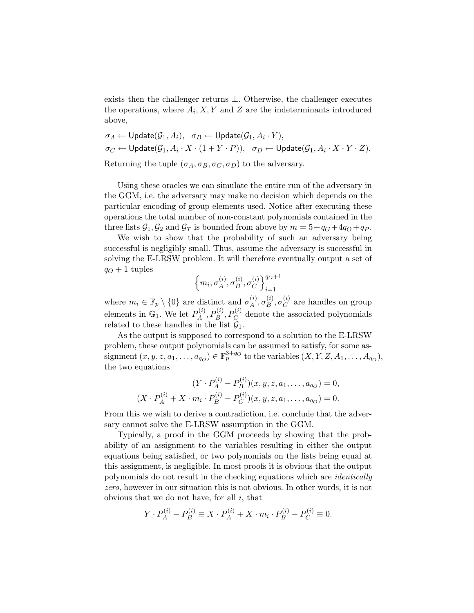exists then the challenger returns ⊥. Otherwise, the challenger executes the operations, where  $A_i, X, Y$  and  $Z$  are the indeterminants introduced above,

$$
\sigma_A \leftarrow \mathsf{Update}(\mathcal{G}_1, A_i), \quad \sigma_B \leftarrow \mathsf{Update}(\mathcal{G}_1, A_i \cdot Y), \sigma_C \leftarrow \mathsf{Update}(\mathcal{G}_1, A_i \cdot X \cdot (1 + Y \cdot P)), \quad \sigma_D \leftarrow \mathsf{Update}(\mathcal{G}_1, A_i \cdot X \cdot Y \cdot Z).
$$

Returning the tuple  $(\sigma_A, \sigma_B, \sigma_C, \sigma_D)$  to the adversary.

Using these oracles we can simulate the entire run of the adversary in the GGM, i.e. the adversary may make no decision which depends on the particular encoding of group elements used. Notice after executing these operations the total number of non-constant polynomials contained in the three lists  $\mathcal{G}_1, \mathcal{G}_2$  and  $\mathcal{G}_T$  is bounded from above by  $m = 5 + q_G + 4q_O + q_P$ .

We wish to show that the probability of such an adversary being successful is negligibly small. Thus, assume the adversary is successful in solving the E-LRSW problem. It will therefore eventually output a set of  $q_O + 1$  tuples

$$
\left\{m_i, \sigma_A^{(i)}, \sigma_B^{(i)}, \sigma_C^{(i)}\right\}_{i=1}^{q_O+1}
$$

where  $m_i \in \mathbb{F}_p \setminus \{0\}$  are distinct and  $\sigma_A^{(i)}$  $\overset{(i)}{A},\overset{(i)}{\sigma_B^{\textcolor{red}{(i)}}}$  $\overset{(i)}{B}, \overset{(i)}{\sigma_C^{\textcolor{blue}(i)}}$  $C^{(i)}$  are handles on group elements in  $\mathbb{G}_1$ . We let  $P_A^{(i)}$  $P_A^{(i)}, P_B^{(i)}, P_C^{(i)}$  denote the associated polynomials related to these handles in the list  $\mathcal{G}_1$ .

As the output is supposed to correspond to a solution to the E-LRSW problem, these output polynomials can be assumed to satisfy, for some assignment  $(x, y, z, a_1, \ldots, a_{q_O}) \in \mathbb{F}_p^{3+q_O}$  to the variables  $(X, Y, Z, A_1, \ldots, A_{q_O}),$ the two equations

$$
(Y \cdot P_A^{(i)} - P_B^{(i)})(x, y, z, a_1, \dots, a_{q_O}) = 0,
$$
  

$$
(X \cdot P_A^{(i)} + X \cdot m_i \cdot P_B^{(i)} - P_C^{(i)})(x, y, z, a_1, \dots, a_{q_O}) = 0.
$$

From this we wish to derive a contradiction, i.e. conclude that the adversary cannot solve the E-LRSW assumption in the GGM.

Typically, a proof in the GGM proceeds by showing that the probability of an assignment to the variables resulting in either the output equations being satisfied, or two polynomials on the lists being equal at this assignment, is negligible. In most proofs it is obvious that the output polynomials do not result in the checking equations which are identically zero, however in our situation this is not obvious. In other words, it is not obvious that we do not have, for all  $i$ , that

$$
Y \cdot P_A^{(i)} - P_B^{(i)} \equiv X \cdot P_A^{(i)} + X \cdot m_i \cdot P_B^{(i)} - P_C^{(i)} \equiv 0.
$$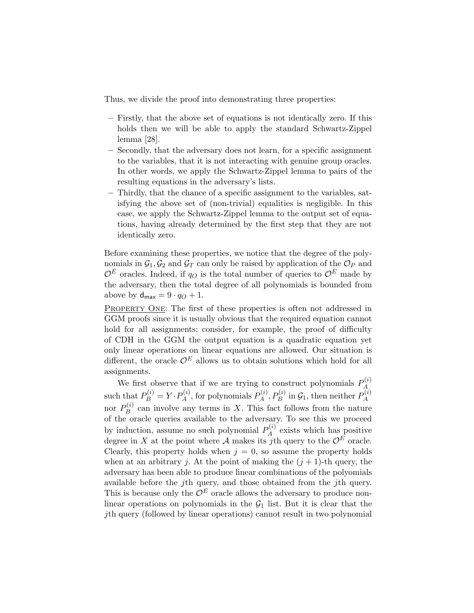Thus, we divide the proof into demonstrating three properties:

- Firstly, that the above set of equations is not identically zero. If this holds then we will be able to apply the standard Schwartz-Zippel lemma [28].
- Secondly, that the adversary does not learn, for a specific assignment to the variables, that it is not interacting with genuine group oracles. In other words, we apply the Schwartz-Zippel lemma to pairs of the resulting equations in the adversary's lists.
- Thirdly, that the chance of a specific assignment to the variables, satisfying the above set of (non-trivial) equalities is negligible. In this case, we apply the Schwartz-Zippel lemma to the output set of equations, having already determined by the first step that they are not identically zero.

Before examining these properties, we notice that the degree of the polynomials in  $\mathcal{G}_1, \mathcal{G}_2$  and  $\mathcal{G}_T$  can only be raised by application of the  $\mathcal{O}_P$  and  $\mathcal{O}^E$  oracles. Indeed, if  $q_O$  is the total number of queries to  $\mathcal{O}^E$  made by the adversary, then the total degree of all polynomials is bounded from above by  $d_{\text{max}} = 9 \cdot q_O + 1$ .

Property One: The first of these properties is often not addressed in GGM proofs since it is usually obvious that the required equation cannot hold for all assignments; consider, for example, the proof of difficulty of CDH in the GGM the output equation is a quadratic equation yet only linear operations on linear equations are allowed. Our situation is different, the oracle  $\mathcal{O}^E$  allows us to obtain solutions which hold for all assignments.

We first observe that if we are trying to construct polynomials  $P_A^{(i)}$ A such that  $P_B^{(i)} = Y \cdot P_A^{(i)}$  $P_A^{(i)}$ , for polynomials  $P_A^{(i)}$  $P_A^{(i)}, P_B^{(i)}$  in  $\mathcal{G}_1$ , then neither  $P_A^{(i)}$ A nor  $P_R^{(i)}$  can involve any terms in X. This fact follows from the nature  $B_{B}$  can involve any terms in  $A$ . This fact follows from the nature<br>of the oracle queries available to the adversary. To see this we proceed by induction, assume no such polynomial  $P_A^{(i)}$  $A^{(i)}_A$  exists which has positive degree in X at the point where A makes its jth query to the  $\mathcal{O}^E$  oracle. Clearly, this property holds when  $j = 0$ , so assume the property holds when at an arbitrary j. At the point of making the  $(j + 1)$ -th query, the adversary has been able to produce linear combinations of the polyomials available before the jth query, and those obtained from the jth query. This is because only the  $\mathcal{O}^E$  oracle allows the adversary to produce nonlinear operations on polynomials in the  $G_1$  list. But it is clear that the jth query (followed by linear operations) cannot result in two polynomial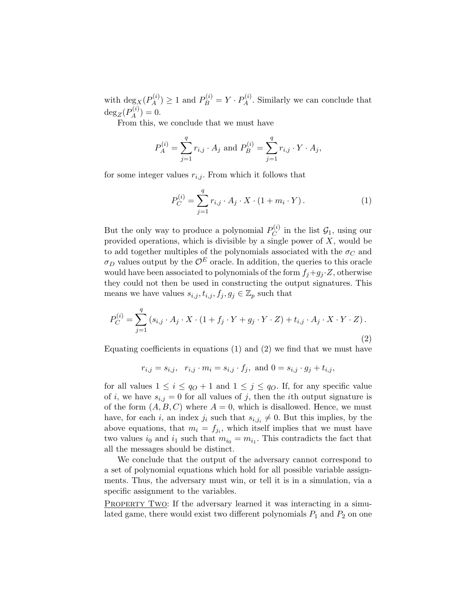with  $\deg_X(P_A^{(i)}$  $P_A^{(i)}$ )  $\geq 1$  and  $P_B^{(i)} = Y \cdot P_A^{(i)}$  $A^{(i)}$ . Similarly we can conclude that  $\mathrm{deg}_Z(P_A^{(i)}$  $P_A^{(i)}$ ) = 0.

From this, we conclude that we must have

$$
P_A^{(i)} = \sum_{j=1}^q r_{i,j} \cdot A_j \text{ and } P_B^{(i)} = \sum_{j=1}^q r_{i,j} \cdot Y \cdot A_j,
$$

for some integer values  $r_{i,j}$ . From which it follows that

$$
P_C^{(i)} = \sum_{j=1}^q r_{i,j} \cdot A_j \cdot X \cdot (1 + m_i \cdot Y). \tag{1}
$$

But the only way to produce a polynomial  $P_C^{(i)}$  $C^{(i)}$  in the list  $\mathcal{G}_1$ , using our provided operations, which is divisible by a single power of  $X$ , would be to add together multiples of the polynomials associated with the  $\sigma_C$  and  $\sigma_D$  values output by the  $\mathcal{O}^E$  oracle. In addition, the queries to this oracle would have been associated to polynomials of the form  $f_i+g_j \cdot Z$ , otherwise they could not then be used in constructing the output signatures. This means we have values  $s_{i,j}, t_{i,j}, f_j, g_j \in \mathbb{Z}_p$  such that

$$
P_C^{(i)} = \sum_{j=1}^q (s_{i,j} \cdot A_j \cdot X \cdot (1 + f_j \cdot Y + g_j \cdot Y \cdot Z) + t_{i,j} \cdot A_j \cdot X \cdot Y \cdot Z). \tag{2}
$$

Equating coefficients in equations  $(1)$  and  $(2)$  we find that we must have

$$
r_{i,j} = s_{i,j}, r_{i,j} \cdot m_i = s_{i,j} \cdot f_j, \text{ and } 0 = s_{i,j} \cdot g_j + t_{i,j},
$$

for all values  $1 \leq i \leq q_0 + 1$  and  $1 \leq j \leq q_0$ . If, for any specific value of i, we have  $s_{i,j} = 0$  for all values of j, then the ith output signature is of the form  $(A, B, C)$  where  $A = 0$ , which is disallowed. Hence, we must have, for each *i*, an index  $j_i$  such that  $s_{i,j_i} \neq 0$ . But this implies, by the above equations, that  $m_i = f_{j_i}$ , which itself implies that we must have two values  $i_0$  and  $i_1$  such that  $m_{i_0} = m_{i_1}$ . This contradicts the fact that all the messages should be distinct.

We conclude that the output of the adversary cannot correspond to a set of polynomial equations which hold for all possible variable assignments. Thus, the adversary must win, or tell it is in a simulation, via a specific assignment to the variables.

PROPERTY TWO: If the adversary learned it was interacting in a simulated game, there would exist two different polynomials  $P_1$  and  $P_2$  on one